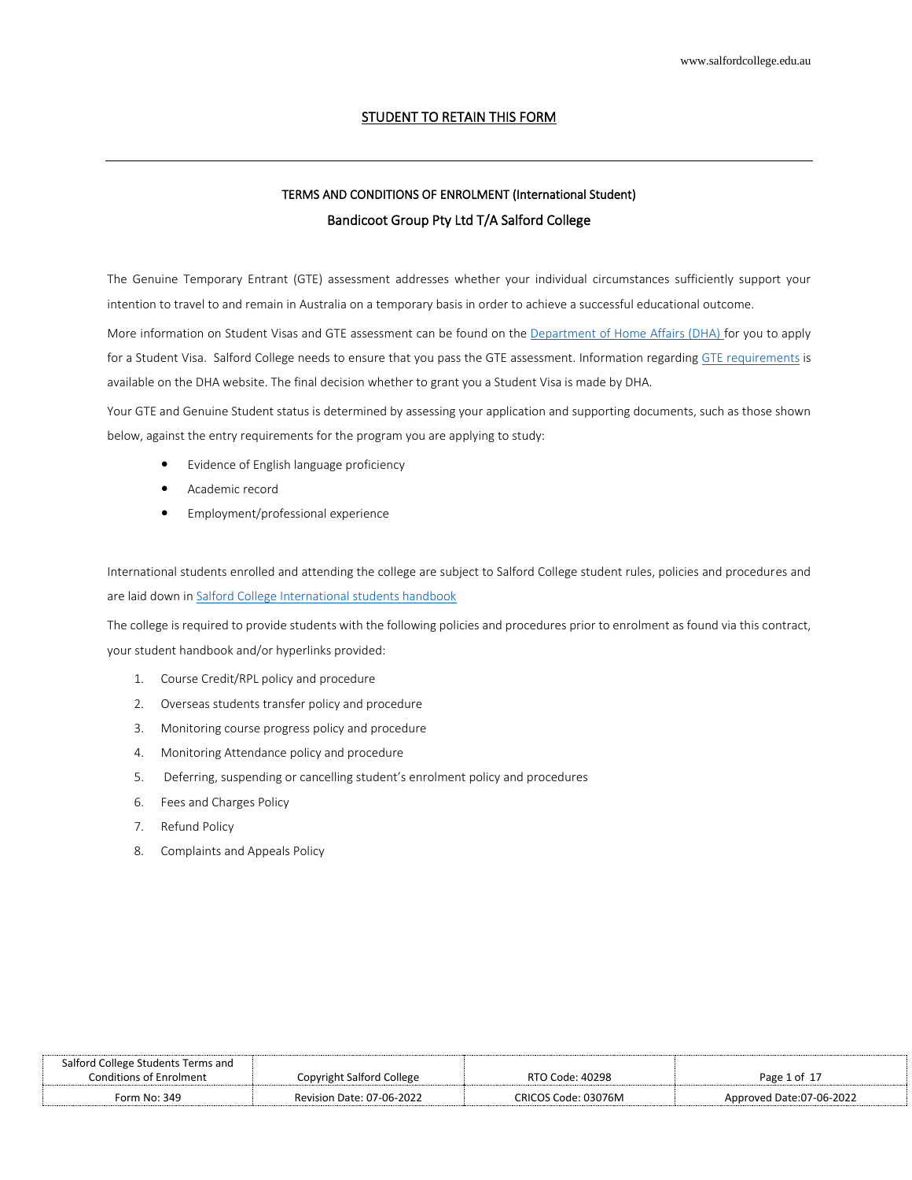# STUDENT TO RETAIN THIS FORM

# TERMS AND CONDITIONS OF ENROLMENT (International Student) Bandicoot Group Pty Ltd T/A Salford College

The Genuine Temporary Entrant (GTE) assessment addresses whether your individual circumstances sufficiently support your intention to travel to and remain in Australia on a temporary basis in order to achieve a successful educational outcome.

More information on Student Visas and GTE assessment can be found on the [Department of Home Affairs \(DHA\)](https://www.homeaffairs.gov.au/) for you to apply for a Student Visa. Salford College needs to ensure that you pass the GTE assessment. Information regarding [GTE requirements](https://immi.homeaffairs.gov.au/visas/getting-a-visa/visa-listing/student-500/genuine-temporary-entrant) is available on the DHA website. The final decision whether to grant you a Student Visa is made by DHA.

Your GTE and Genuine Student status is determined by assessing your application and supporting documents, such as those shown below, against the entry requirements for the program you are applying to study:

- Evidence of English language proficiency
- Academic record
- Employment/professional experience

International students enrolled and attending the college are subject to Salford College student rules, policies and procedures and are laid down in Salford College [International students handbook](https://salfordcollege.edu.au/_documents/International-Student-Handbook.pdf)

The college is required to provide students with the following policies and procedures prior to enrolment as found via this contract, your student handbook and/or hyperlinks provided:

- 1. Course Credit/RPL policy and procedure
- 2. Overseas students transfer policy and procedure
- 3. Monitoring course progress policy and procedure
- 4. Monitoring Attendance policy and procedure
- 5. Deferring, suspending or cancelling student's enrolment policy and procedures
- 6. Fees and Charges Policy
- 7. Refund Policy
- 8. Complaints and Appeals Policy

| Salford College Students Terms and |                           |                     |                          |
|------------------------------------|---------------------------|---------------------|--------------------------|
| Conditions of Enrolment            | Copyright Salford College | RTO Code: 40298     | Page 1 of 17             |
| Form No: 349                       | Revision Date: 07-06-2022 | CRICOS Code: 03076M | Approved Date:07-06-2022 |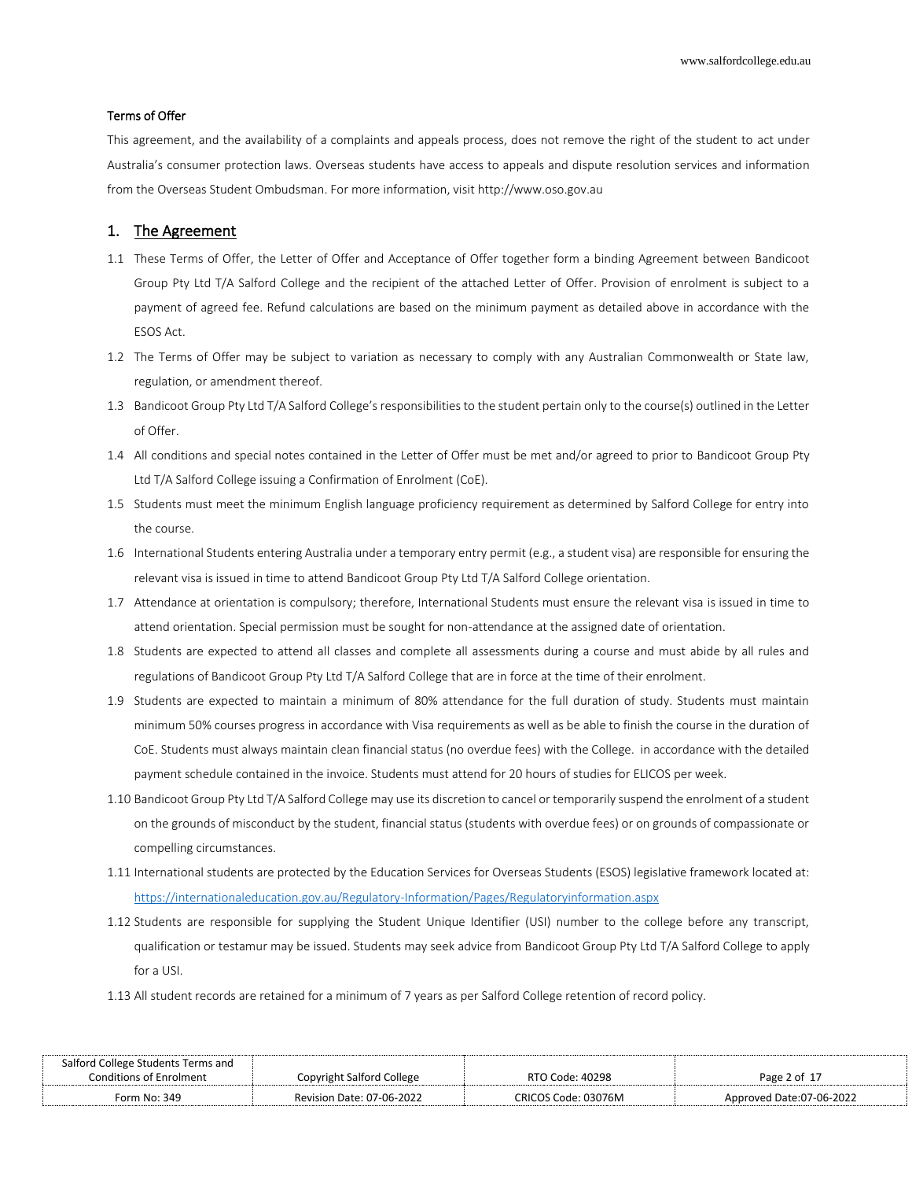### Terms of Offer

This agreement, and the availability of a complaints and appeals process, does not remove the right of the student to act under Australia's consumer protection laws. Overseas students have access to appeals and dispute resolution services and information from the Overseas Student Ombudsman. For more information, visit http://www.oso.gov.au

# 1. The Agreement

- 1.1 These Terms of Offer, the Letter of Offer and Acceptance of Offer together form a binding Agreement between Bandicoot Group Pty Ltd T/A Salford College and the recipient of the attached Letter of Offer. Provision of enrolment is subject to a payment of agreed fee. Refund calculations are based on the minimum payment as detailed above in accordance with the ESOS Act.
- 1.2 The Terms of Offer may be subject to variation as necessary to comply with any Australian Commonwealth or State law, regulation, or amendment thereof.
- 1.3 Bandicoot Group Pty Ltd T/A Salford College's responsibilities to the student pertain only to the course(s) outlined in the Letter of Offer.
- 1.4 All conditions and special notes contained in the Letter of Offer must be met and/or agreed to prior to Bandicoot Group Pty Ltd T/A Salford College issuing a Confirmation of Enrolment (CoE).
- 1.5 Students must meet the minimum English language proficiency requirement as determined by Salford College for entry into the course.
- 1.6 International Students entering Australia under a temporary entry permit (e.g., a student visa) are responsible for ensuring the relevant visa is issued in time to attend Bandicoot Group Pty Ltd T/A Salford College orientation.
- 1.7 Attendance at orientation is compulsory; therefore, International Students must ensure the relevant visa is issued in time to attend orientation. Special permission must be sought for non-attendance at the assigned date of orientation.
- 1.8 Students are expected to attend all classes and complete all assessments during a course and must abide by all rules and regulations of Bandicoot Group Pty Ltd T/A Salford College that are in force at the time of their enrolment.
- 1.9 Students are expected to maintain a minimum of 80% attendance for the full duration of study. Students must maintain minimum 50% courses progress in accordance with Visa requirements as well as be able to finish the course in the duration of CoE. Students must always maintain clean financial status (no overdue fees) with the College. in accordance with the detailed payment schedule contained in the invoice. Students must attend for 20 hours of studies for ELICOS per week.
- 1.10 Bandicoot Group Pty Ltd T/A Salford College may use its discretion to cancel or temporarily suspend the enrolment of a student on the grounds of misconduct by the student, financial status (students with overdue fees) or on grounds of compassionate or compelling circumstances.
- 1.11 International students are protected by the Education Services for Overseas Students (ESOS) legislative framework located at: <https://internationaleducation.gov.au/Regulatory-Information/Pages/Regulatoryinformation.aspx>
- 1.12 Students are responsible for supplying the Student Unique Identifier (USI) number to the college before any transcript, qualification or testamur may be issued. Students may seek advice from Bandicoot Group Pty Ltd T/A Salford College to apply for a USI.
- 1.13 All student records are retained for a minimum of 7 years as per Salford College retention of record policy.

| Salford College Students Terms and |                           |                     |                          |
|------------------------------------|---------------------------|---------------------|--------------------------|
| <b>Conditions of Enrolment</b>     | Copyright Salford College | RTO Code: 40298     | Page 2 of 17             |
| Form No: 349                       | Revision Date: 07-06-2022 | CRICOS Code: 03076M | Approved Date:07-06-2022 |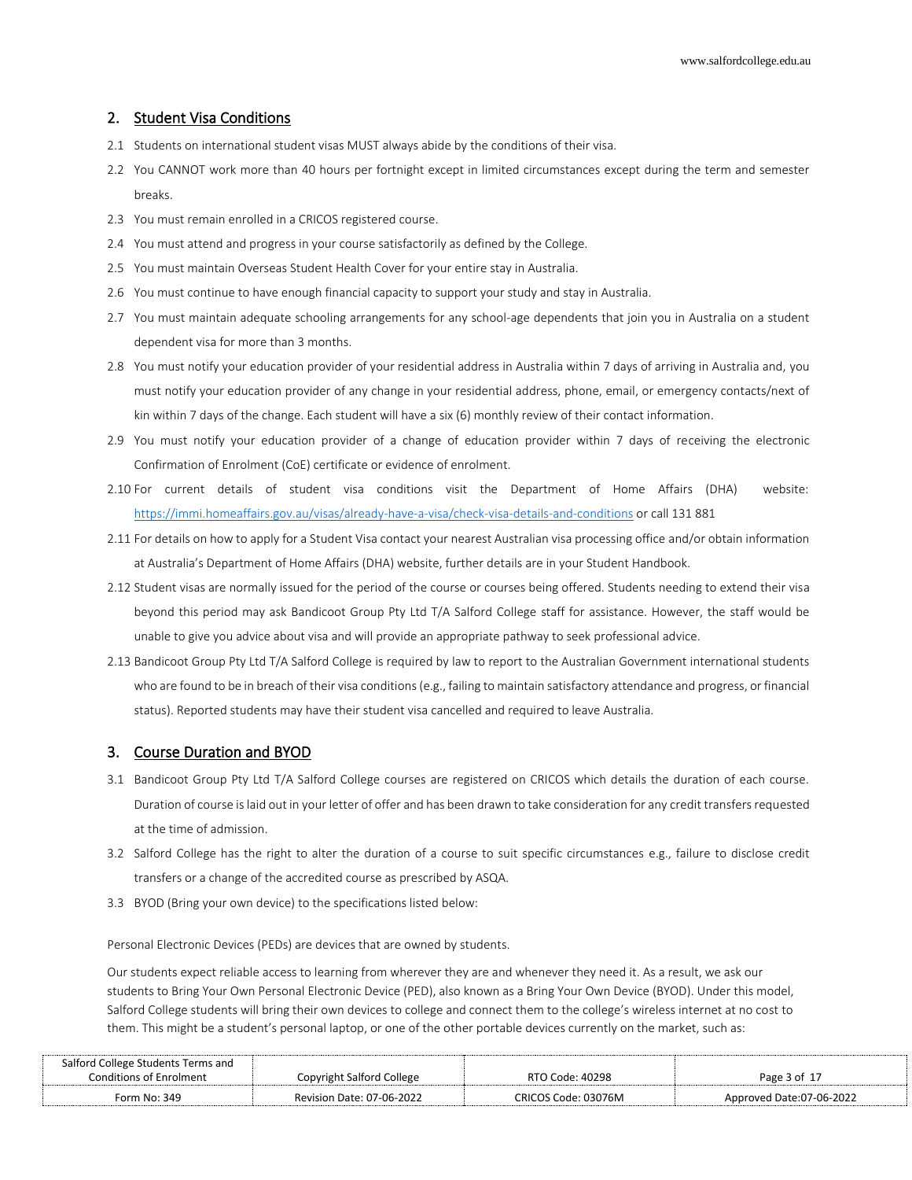#### 2. Student Visa Conditions

- 2.1 Students on international student visas MUST always abide by the conditions of their visa.
- 2.2 You CANNOT work more than 40 hours per fortnight except in limited circumstances except during the term and semester breaks.
- 2.3 You must remain enrolled in a CRICOS registered course.
- 2.4 You must attend and progress in your course satisfactorily as defined by the College.
- 2.5 You must maintain Overseas Student Health Cover for your entire stay in Australia.
- 2.6 You must continue to have enough financial capacity to support your study and stay in Australia.
- 2.7 You must maintain adequate schooling arrangements for any school-age dependents that join you in Australia on a student dependent visa for more than 3 months.
- 2.8 You must notify your education provider of your residential address in Australia within 7 days of arriving in Australia and, you must notify your education provider of any change in your residential address, phone, email, or emergency contacts/next of kin within 7 days of the change. Each student will have a six (6) monthly review of their contact information.
- 2.9 You must notify your education provider of a change of education provider within 7 days of receiving the electronic Confirmation of Enrolment (CoE) certificate or evidence of enrolment.
- 2.10 For current details of student visa conditions visit the Department of Home Affairs (DHA) website: <https://immi.homeaffairs.gov.au/visas/already-have-a-visa/check-visa-details-and-conditions> or call 131 881
- 2.11 For details on how to apply for a Student Visa contact your nearest Australian visa processing office and/or obtain information at Australia's Department of Home Affairs (DHA) website, further details are in your Student Handbook.
- 2.12 Student visas are normally issued for the period of the course or courses being offered. Students needing to extend their visa beyond this period may ask Bandicoot Group Pty Ltd T/A Salford College staff for assistance. However, the staff would be unable to give you advice about visa and will provide an appropriate pathway to seek professional advice.
- 2.13 Bandicoot Group Pty Ltd T/A Salford College is required by law to report to the Australian Government international students who are found to be in breach of their visa conditions (e.g., failing to maintain satisfactory attendance and progress, or financial status). Reported students may have their student visa cancelled and required to leave Australia.

## 3. Course Duration and BYOD

- 3.1 Bandicoot Group Pty Ltd T/A Salford College courses are registered on CRICOS which details the duration of each course. Duration of course is laid out in your letter of offer and has been drawn to take consideration for any credit transfers requested at the time of admission.
- 3.2 Salford College has the right to alter the duration of a course to suit specific circumstances e.g., failure to disclose credit transfers or a change of the accredited course as prescribed by ASQA.
- 3.3 BYOD (Bring your own device) to the specifications listed below:

Personal Electronic Devices (PEDs) are devices that are owned by students.

Our students expect reliable access to learning from wherever they are and whenever they need it. As a result, we ask our students to Bring Your Own Personal Electronic Device (PED), also known as a Bring Your Own Device (BYOD). Under this model, Salford College students will bring their own devices to college and connect them to the college's wireless internet at no cost to them. This might be a student's personal laptop, or one of the other portable devices currently on the market, such as:

| Salford College Students Terms and |                           |                     |                          |
|------------------------------------|---------------------------|---------------------|--------------------------|
| Conditions of Enrolment            | Copyright Salford College | RTO Code: 40298     | Page 3 of 17             |
| Form No: 349                       | Revision Date: 07-06-2022 | CRICOS Code: 03076M | Approved Date:07-06-2022 |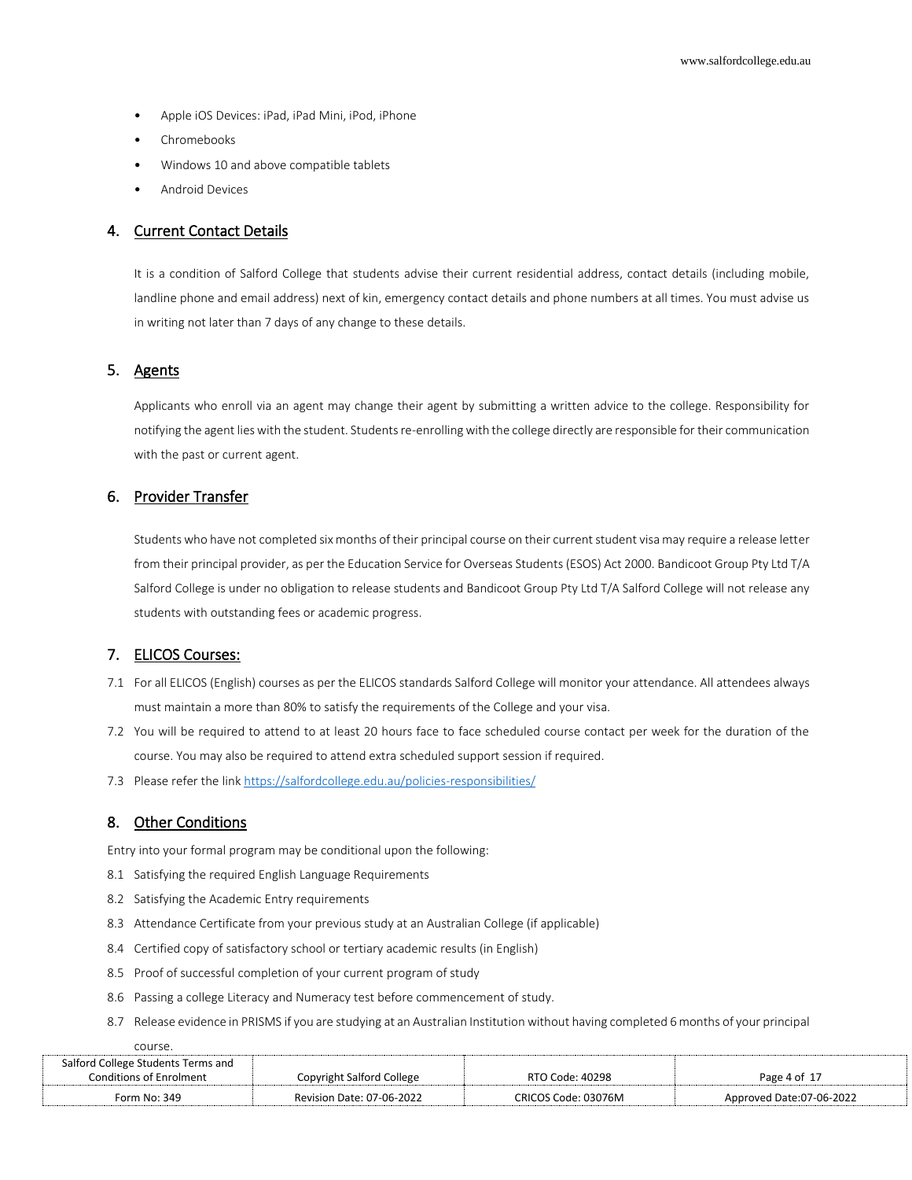- Apple iOS Devices: iPad, iPad Mini, iPod, iPhone
- Chromebooks
- Windows 10 and above compatible tablets
- Android Devices

# 4. Current Contact Details

It is a condition of Salford College that students advise their current residential address, contact details (including mobile, landline phone and email address) next of kin, emergency contact details and phone numbers at all times. You must advise us in writing not later than 7 days of any change to these details.

# 5. Agents

Applicants who enroll via an agent may change their agent by submitting a written advice to the college. Responsibility for notifying the agent lies with the student. Students re-enrolling with the college directly are responsible for their communication with the past or current agent.

# 6. Provider Transfer

Students who have not completed six months of their principal course on their current student visa may require a release letter from their principal provider, as per the Education Service for Overseas Students (ESOS) Act 2000. Bandicoot Group Pty Ltd T/A Salford College is under no obligation to release students and Bandicoot Group Pty Ltd T/A Salford College will not release any students with outstanding fees or academic progress.

# 7. ELICOS Courses:

- 7.1 For all ELICOS (English) courses as per the ELICOS standards Salford College will monitor your attendance. All attendees always must maintain a more than 80% to satisfy the requirements of the College and your visa.
- 7.2 You will be required to attend to at least 20 hours face to face scheduled course contact per week for the duration of the course. You may also be required to attend extra scheduled support session if required.
- 7.3 Please refer the link<https://salfordcollege.edu.au/policies-responsibilities/>

#### 8. Other Conditions

Entry into your formal program may be conditional upon the following:

- 8.1 Satisfying the required English Language Requirements
- 8.2 Satisfying the Academic Entry requirements
- 8.3 Attendance Certificate from your previous study at an Australian College (if applicable)
- 8.4 Certified copy of satisfactory school or tertiary academic results (in English)
- 8.5 Proof of successful completion of your current program of study
- 8.6 Passing a college Literacy and Numeracy test before commencement of study.
- 8.7 Release evidence in PRISMS if you are studying at an Australian Institution without having completed 6 months of your principal

course.

| Salford College Students Terms and |                                  |                     |                          |
|------------------------------------|----------------------------------|---------------------|--------------------------|
| Conditions of Enrolment            | Copyright Salford College        | RTO Code: 40298     | Page 4 of 17             |
| Form No: 349                       | <b>Revision Date: 07-06-2022</b> | CRICOS Code: 03076M | Approved Date:07-06-2022 |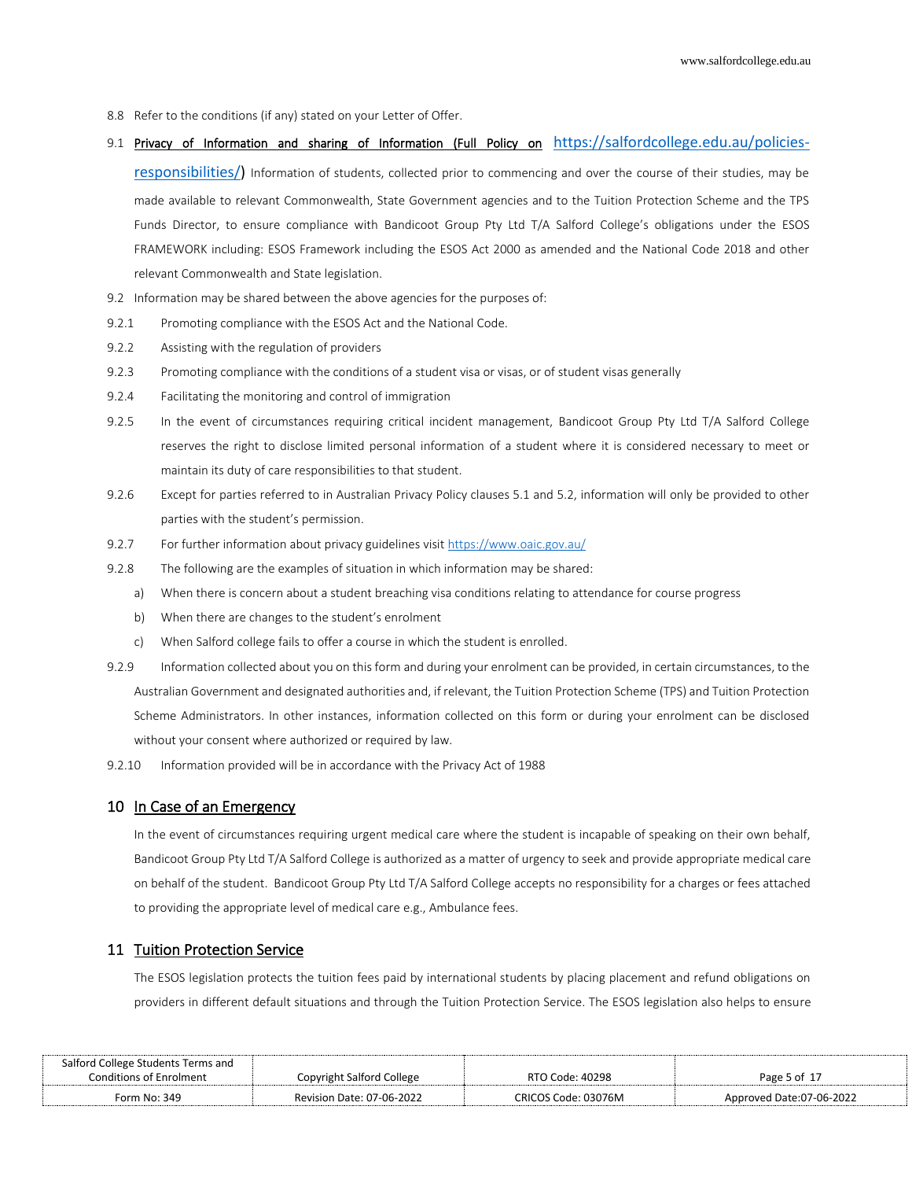- 8.8 Refer to the conditions (if any) stated on your Letter of Offer.
- 9.1 Privacy of Information and sharing of Information (Full Policy on [https://salfordcollege.edu.au/policies](https://salfordcollege.edu.au/policies-responsibilities/)[responsibilities/\)](https://salfordcollege.edu.au/policies-responsibilities/) Information of students, collected prior to commencing and over the course of their studies, may be made available to relevant Commonwealth, State Government agencies and to the Tuition Protection Scheme and the TPS Funds Director, to ensure compliance with Bandicoot Group Pty Ltd T/A Salford College's obligations under the ESOS FRAMEWORK including: ESOS Framework including the ESOS Act 2000 as amended and the National Code 2018 and other relevant Commonwealth and State legislation.
- 9.2 Information may be shared between the above agencies for the purposes of:
- 9.2.1 Promoting compliance with the ESOS Act and the National Code.
- 9.2.2 Assisting with the regulation of providers
- 9.2.3 Promoting compliance with the conditions of a student visa or visas, or of student visas generally
- 9.2.4 Facilitating the monitoring and control of immigration
- 9.2.5 In the event of circumstances requiring critical incident management, Bandicoot Group Pty Ltd T/A Salford College reserves the right to disclose limited personal information of a student where it is considered necessary to meet or maintain its duty of care responsibilities to that student.
- 9.2.6 Except for parties referred to in Australian Privacy Policy clauses 5.1 and 5.2, information will only be provided to other parties with the student's permission.
- 9.2.7 For further information about privacy guidelines visi[t https://www.oaic.gov.au/](https://www.oaic.gov.au/)
- 9.2.8 The following are the examples of situation in which information may be shared:
	- a) When there is concern about a student breaching visa conditions relating to attendance for course progress
	- b) When there are changes to the student's enrolment
	- c) When Salford college fails to offer a course in which the student is enrolled.
- 9.2.9 Information collected about you on this form and during your enrolment can be provided, in certain circumstances, to the Australian Government and designated authorities and, if relevant, the Tuition Protection Scheme (TPS) and Tuition Protection Scheme Administrators. In other instances, information collected on this form or during your enrolment can be disclosed without your consent where authorized or required by law.
- 9.2.10 Information provided will be in accordance with the Privacy Act of 1988

## 10 In Case of an Emergency

In the event of circumstances requiring urgent medical care where the student is incapable of speaking on their own behalf, Bandicoot Group Pty Ltd T/A Salford College is authorized as a matter of urgency to seek and provide appropriate medical care on behalf of the student. Bandicoot Group Pty Ltd T/A Salford College accepts no responsibility for a charges or fees attached to providing the appropriate level of medical care e.g., Ambulance fees.

# 11 Tuition Protection Service

The ESOS legislation protects the tuition fees paid by international students by placing placement and refund obligations on providers in different default situations and through the Tuition Protection Service. The ESOS legislation also helps to ensure

| Salford College Students Terms and |                           |                     |                          |
|------------------------------------|---------------------------|---------------------|--------------------------|
| Conditions of Enrolment            | Copyright Salford College | RTO Code: 40298     | Page 5 of 17             |
| Form No: 349                       | Revision Date: 07-06-2022 | CRICOS Code: 03076M | Approved Date:07-06-2022 |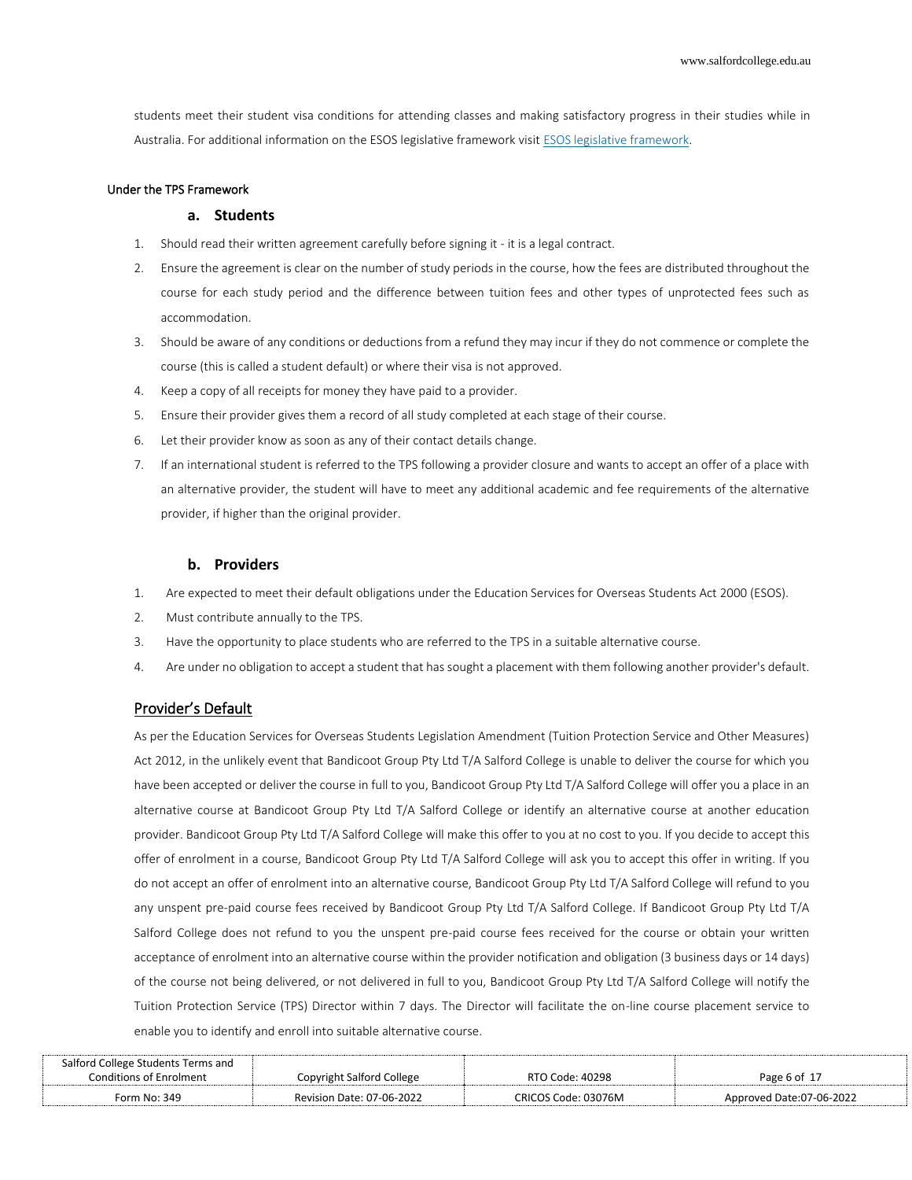students meet their student visa conditions for attending classes and making satisfactory progress in their studies while in Australia. For additional information on the ESOS legislative framework visit [ESOS legislative framework.](https://internationaleducation.gov.au/Regulatory-Information/Pages/Regulatoryinformation.aspx)

#### Under the TPS Framework

#### **a. Students**

- 1. Should read their written agreement carefully before signing it it is a legal contract.
- 2. Ensure the agreement is clear on the number of study periods in the course, how the fees are distributed throughout the course for each study period and the difference between tuition fees and other types of unprotected fees such as accommodation.
- 3. Should be aware of any conditions or deductions from a refund they may incur if they do not commence or complete the course (this is called a student default) or where their visa is not approved.
- 4. Keep a copy of all receipts for money they have paid to a provider.
- 5. Ensure their provider gives them a record of all study completed at each stage of their course.
- 6. Let their provider know as soon as any of their contact details change.
- 7. If an international student is referred to the TPS following a provider closure and wants to accept an offer of a place with an alternative provider, the student will have to meet any additional academic and fee requirements of the alternative provider, if higher than the original provider.

#### **b. Providers**

- 1. Are expected to meet their default obligations under the Education Services for Overseas Students Act 2000 (ESOS).
- 2. Must contribute annually to the TPS.
- 3. Have the opportunity to place students who are referred to the TPS in a suitable alternative course.
- 4. Are under no obligation to accept a student that has sought a placement with them following another provider's default.

#### Provider's Default

As per the Education Services for Overseas Students Legislation Amendment (Tuition Protection Service and Other Measures) Act 2012, in the unlikely event that Bandicoot Group Pty Ltd T/A Salford College is unable to deliver the course for which you have been accepted or deliver the course in full to you, Bandicoot Group Pty Ltd T/A Salford College will offer you a place in an alternative course at Bandicoot Group Pty Ltd T/A Salford College or identify an alternative course at another education provider. Bandicoot Group Pty Ltd T/A Salford College will make this offer to you at no cost to you. If you decide to accept this offer of enrolment in a course, Bandicoot Group Pty Ltd T/A Salford College will ask you to accept this offer in writing. If you do not accept an offer of enrolment into an alternative course, Bandicoot Group Pty Ltd T/A Salford College will refund to you any unspent pre-paid course fees received by Bandicoot Group Pty Ltd T/A Salford College. If Bandicoot Group Pty Ltd T/A Salford College does not refund to you the unspent pre-paid course fees received for the course or obtain your written acceptance of enrolment into an alternative course within the provider notification and obligation (3 business days or 14 days) of the course not being delivered, or not delivered in full to you, Bandicoot Group Pty Ltd T/A Salford College will notify the Tuition Protection Service (TPS) Director within 7 days. The Director will facilitate the on-line course placement service to enable you to identify and enroll into suitable alternative course.

| Salford College Students Terms and |                                  |                     |                          |
|------------------------------------|----------------------------------|---------------------|--------------------------|
| Conditions of Enrolment            | Copyright Salford College        | RTO Code: 40298     | Page 6 of $1-$           |
| Form No: 349                       | <b>Revision Date: 07-06-2022</b> | CRICOS Code: 03076M | Approved Date:07-06-2022 |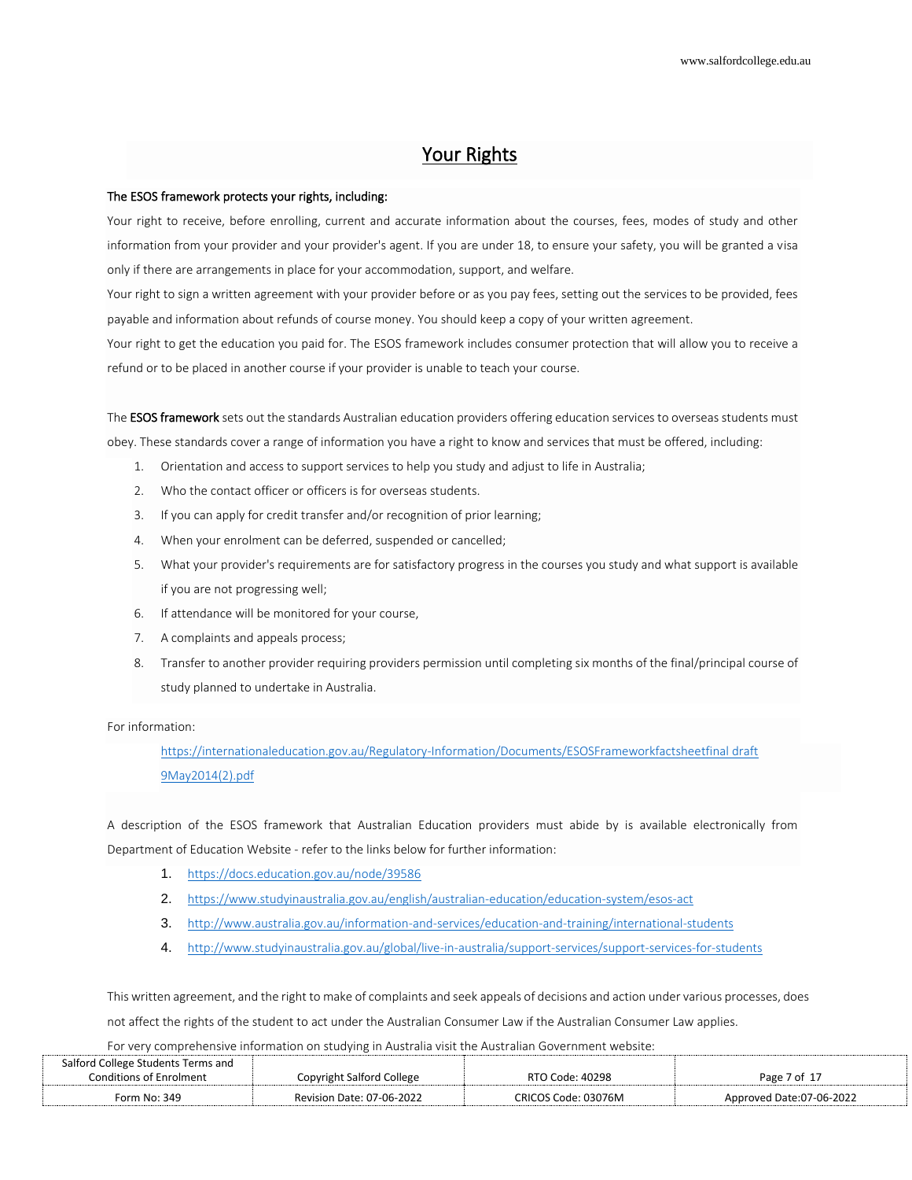# Your Rights

#### The ESOS framework protects your rights, including:

Your right to receive, before enrolling, current and accurate information about the courses, fees, modes of study and other information from your provider and your provider's agent. If you are under 18, to ensure your safety, you will be granted a visa only if there are arrangements in place for your accommodation, support, and welfare.

Your right to sign a written agreement with your provider before or as you pay fees, setting out the services to be provided, fees payable and information about refunds of course money. You should keep a copy of your written agreement.

Your right to get the education you paid for. The ESOS framework includes consumer protection that will allow you to receive a refund or to be placed in another course if your provider is unable to teach your course.

The **ESOS framework** sets out the standards Australian education providers offering education services to overseas students must obey. These standards cover a range of information you have a right to know and services that must be offered, including:

- 1. Orientation and access to support services to help you study and adjust to life in Australia;
- 2. Who the contact officer or officers is for overseas students.
- 3. If you can apply for credit transfer and/or recognition of prior learning;
- 4. When your enrolment can be deferred, suspended or cancelled;
- 5. What your provider's requirements are for satisfactory progress in the courses you study and what support is available if you are not progressing well;
- 6. If attendance will be monitored for your course,
- 7. A complaints and appeals process;
- 8. Transfer to another provider requiring providers permission until completing six months of the final/principal course of study planned to undertake in Australia.

#### For information:

[https://internationaleducation.gov.au/Regulatory-Information/Documents/ESOSFrameworkfactsheetfinal draft](https://internationaleducation.gov.au/Regulatory-Information/Documents/ESOSFrameworkfactsheetfinal%20draft%209May2014(2).pdf)  [9May2014\(2\).pdf](https://internationaleducation.gov.au/Regulatory-Information/Documents/ESOSFrameworkfactsheetfinal%20draft%209May2014(2).pdf)

A description of the ESOS framework that Australian Education providers must abide by is available electronically from Department of Education Website - refer to the links below for further information:

- 1. <https://docs.education.gov.au/node/39586>
- 2. <https://www.studyinaustralia.gov.au/english/australian-education/education-system/esos-act>
- 3. <http://www.australia.gov.au/information-and-services/education-and-training/international-students>
- 4. <http://www.studyinaustralia.gov.au/global/live-in-australia/support-services/support-services-for-students>

This written agreement, and the right to make of complaints and seek appeals of decisions and action under various processes, does

not affect the rights of the student to act under the Australian Consumer Law if the Australian Consumer Law applies.

For very comprehensive information on studying in Australia visit the Australian Government website:

| Salford College Students Terms and |                           |                     |                          |
|------------------------------------|---------------------------|---------------------|--------------------------|
| <b>Conditions of Enrolment</b>     | Copyright Salford College | RTO Code: 40298     | Page 7 of 17             |
| Form No: 349                       | Revision Date: 07-06-2022 | CRICOS Code: 03076M | Approved Date:07-06-2022 |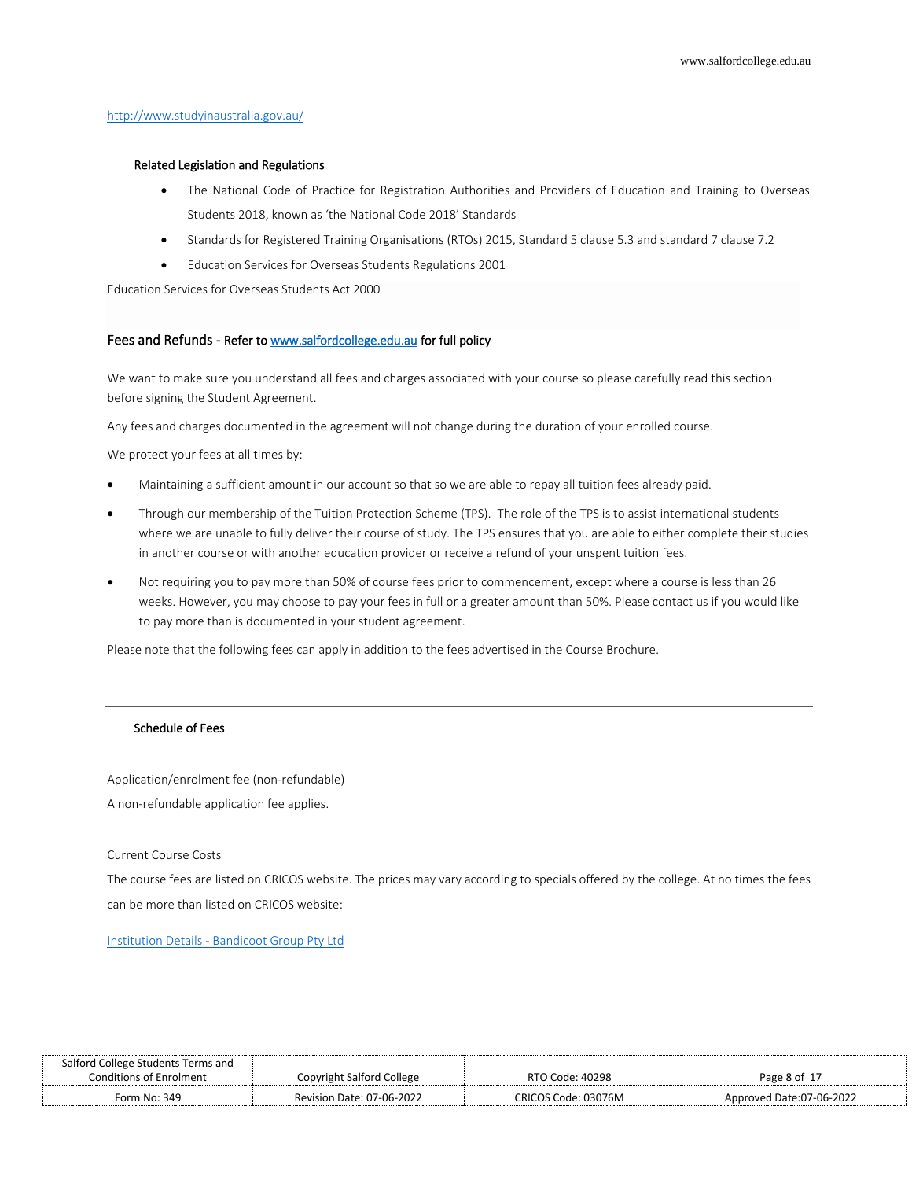#### <http://www.studyinaustralia.gov.au/>

#### Related Legislation and Regulations

- The National Code of Practice for Registration Authorities and Providers of Education and Training to Overseas Students 2018, known as 'the National Code 2018' Standards
- Standards for Registered Training Organisations (RTOs) 2015, Standard 5 clause 5.3 and standard 7 clause 7.2
- Education Services for Overseas Students Regulations 2001

Education Services for Overseas Students Act 2000

#### Fees and Refunds - Refer t[o www.salfordcollege.edu.au f](http://www.salfordcollege.edu.au/)or full policy

We want to make sure you understand all fees and charges associated with your course so please carefully read this section before signing the Student Agreement.

Any fees and charges documented in the agreement will not change during the duration of your enrolled course.

We protect your fees at all times by:

- Maintaining a sufficient amount in our account so that so we are able to repay all tuition fees already paid.
- Through our membership of the Tuition Protection Scheme (TPS). The role of the TPS is to assist international students where we are unable to fully deliver their course of study. The TPS ensures that you are able to either complete their studies in another course or with another education provider or receive a refund of your unspent tuition fees.
- Not requiring you to pay more than 50% of course fees prior to commencement, except where a course is less than 26 weeks. However, you may choose to pay your fees in full or a greater amount than 50%. Please contact us if you would like to pay more than is documented in your student agreement.

Please note that the following fees can apply in addition to the fees advertised in the Course Brochure.

### Schedule of Fees

Application/enrolment fee (non-refundable) A non-refundable application fee applies.

#### Current Course Costs

The course fees are listed on CRICOS website. The prices may vary according to specials offered by the college. At no times the fees can be more than listed on CRICOS website:

#### Institution Details - [Bandicoot Group Pty Ltd](http://cricos.education.gov.au/Institution/InstitutionDetails.aspx?ProviderCode=03076M)

| Salford College Students Terms and |                           |                     |                          |
|------------------------------------|---------------------------|---------------------|--------------------------|
| Conditions of Enrolment            | Copyright Salford College | RTO Code: 40298     | Page 8 of 17             |
| Form No: 349                       | Revision Date: 07-06-2022 | CRICOS Code: 03076M | Approved Date:07-06-2022 |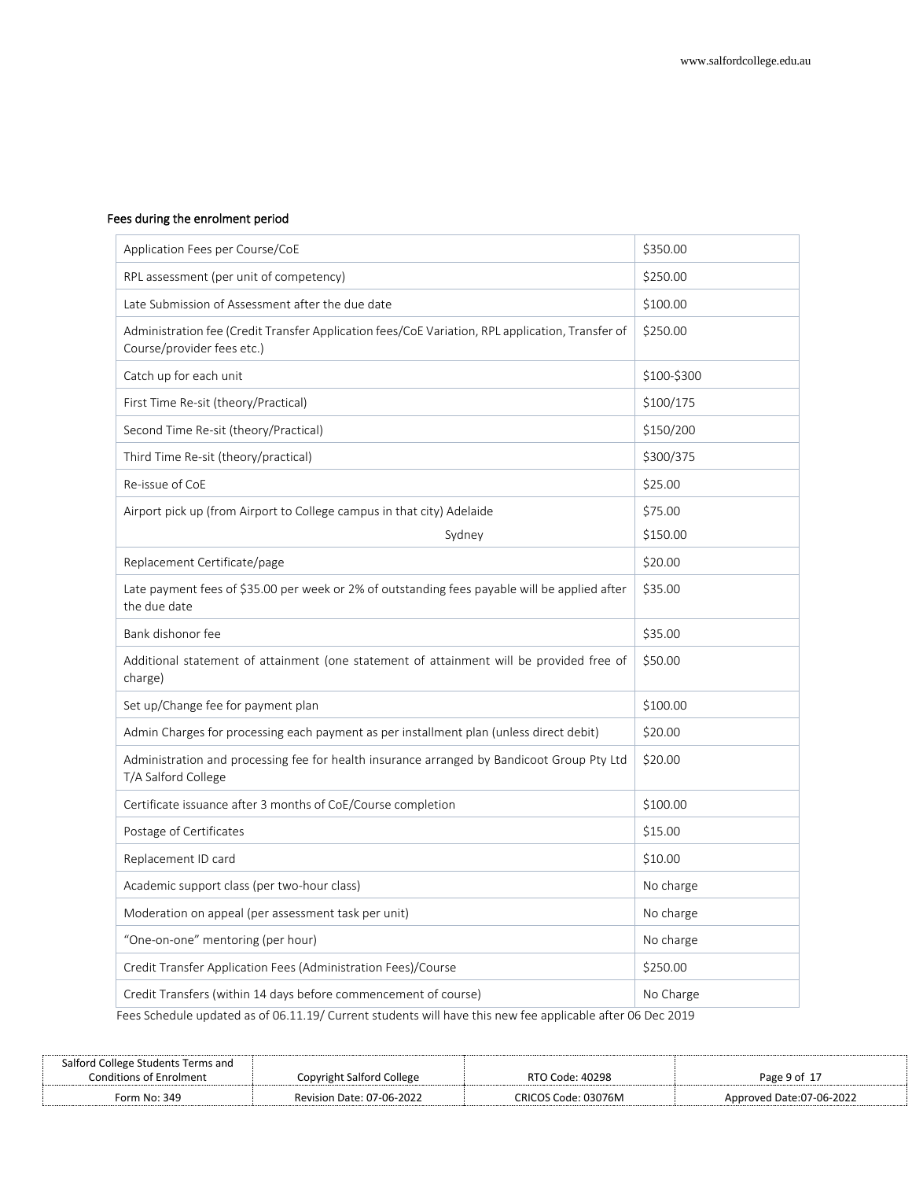# Fees during the enrolment period

| Application Fees per Course/CoE                                                                                                | \$350.00    |
|--------------------------------------------------------------------------------------------------------------------------------|-------------|
| RPL assessment (per unit of competency)                                                                                        | \$250.00    |
| Late Submission of Assessment after the due date                                                                               | \$100.00    |
| Administration fee (Credit Transfer Application fees/CoE Variation, RPL application, Transfer of<br>Course/provider fees etc.) | \$250.00    |
| Catch up for each unit                                                                                                         | \$100-\$300 |
| First Time Re-sit (theory/Practical)                                                                                           | \$100/175   |
| Second Time Re-sit (theory/Practical)                                                                                          | \$150/200   |
| Third Time Re-sit (theory/practical)                                                                                           | \$300/375   |
| Re-issue of CoE                                                                                                                | \$25.00     |
| Airport pick up (from Airport to College campus in that city) Adelaide                                                         | \$75.00     |
| Sydney                                                                                                                         | \$150.00    |
| Replacement Certificate/page                                                                                                   | \$20.00     |
| Late payment fees of \$35.00 per week or 2% of outstanding fees payable will be applied after<br>the due date                  | \$35.00     |
| Bank dishonor fee                                                                                                              | \$35.00     |
| Additional statement of attainment (one statement of attainment will be provided free of<br>charge)                            | \$50.00     |
| Set up/Change fee for payment plan                                                                                             | \$100.00    |
| Admin Charges for processing each payment as per installment plan (unless direct debit)                                        | \$20.00     |
| Administration and processing fee for health insurance arranged by Bandicoot Group Pty Ltd<br>T/A Salford College              | \$20.00     |
| Certificate issuance after 3 months of CoE/Course completion                                                                   | \$100.00    |
| Postage of Certificates                                                                                                        | \$15.00     |
| Replacement ID card                                                                                                            | \$10.00     |
| Academic support class (per two-hour class)                                                                                    | No charge   |
| Moderation on appeal (per assessment task per unit)                                                                            | No charge   |
| "One-on-one" mentoring (per hour)                                                                                              | No charge   |
| Credit Transfer Application Fees (Administration Fees)/Course                                                                  | \$250.00    |
| Credit Transfers (within 14 days before commencement of course)                                                                | No Charge   |

Fees Schedule updated as of 06.11.19/ Current students will have this new fee applicable after 06 Dec 2019

| Salford College Students Terms and |                           |                     |                          |
|------------------------------------|---------------------------|---------------------|--------------------------|
| <b>Conditions of Enrolment</b>     | Copyright Salford College | RTO Code: 40298     | Page 9 of 17             |
| Form No: 349                       | Revision Date: 07-06-2022 | CRICOS Code: 03076M | Approved Date:07-06-2022 |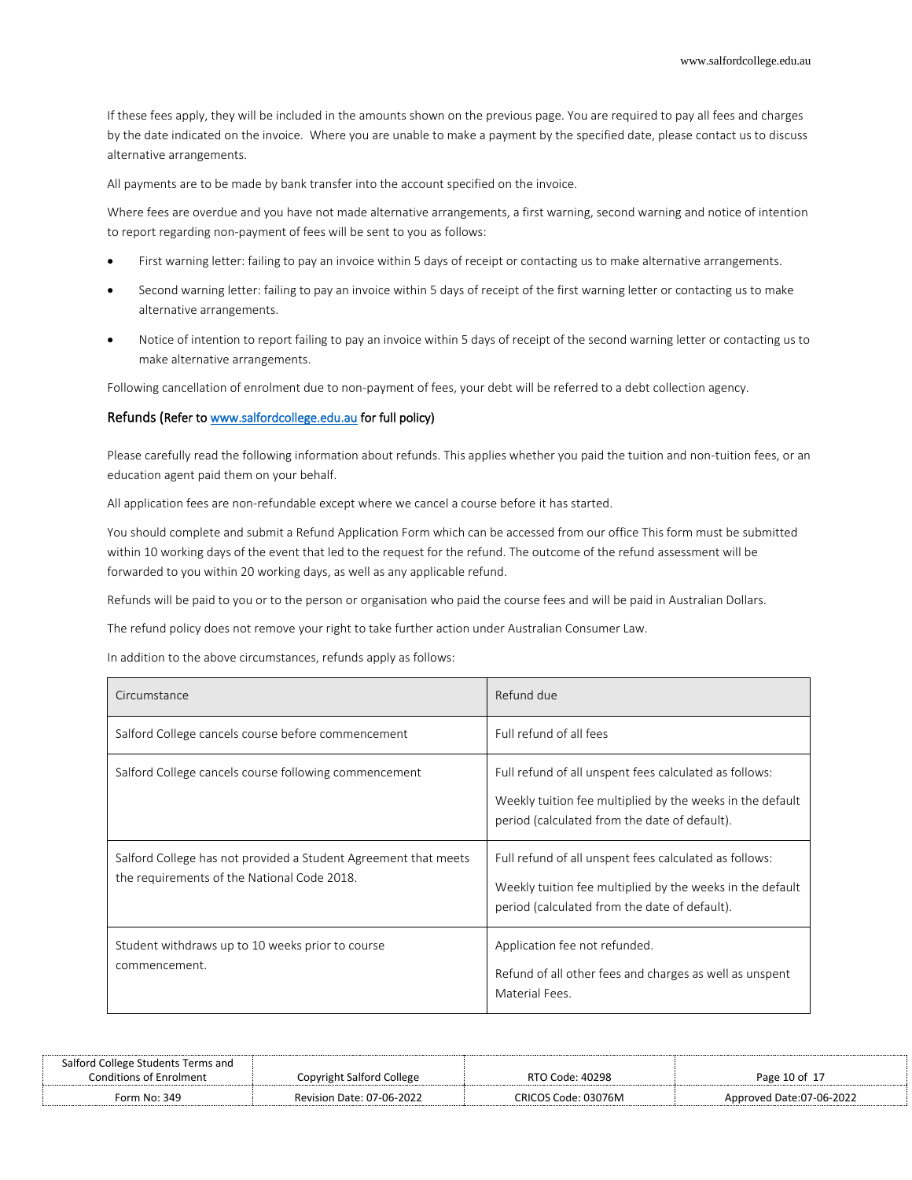If these fees apply, they will be included in the amounts shown on the previous page. You are required to pay all fees and charges by the date indicated on the invoice. Where you are unable to make a payment by the specified date, please contact us to discuss alternative arrangements.

All payments are to be made by bank transfer into the account specified on the invoice.

Where fees are overdue and you have not made alternative arrangements, a first warning, second warning and notice of intention to report regarding non-payment of fees will be sent to you as follows:

- First warning letter: failing to pay an invoice within 5 days of receipt or contacting us to make alternative arrangements.
- Second warning letter: failing to pay an invoice within 5 days of receipt of the first warning letter or contacting us to make alternative arrangements.
- Notice of intention to report failing to pay an invoice within 5 days of receipt of the second warning letter or contacting us to make alternative arrangements.

Following cancellation of enrolment due to non-payment of fees, your debt will be referred to a debt collection agency.

#### Refunds (Refer t[o www.salfordcollege.edu.au](http://www.salfordcollege.edu.au/) for full policy)

Please carefully read the following information about refunds. This applies whether you paid the tuition and non-tuition fees, or an education agent paid them on your behalf.

All application fees are non-refundable except where we cancel a course before it has started.

You should complete and submit a Refund Application Form which can be accessed from our office This form must be submitted within 10 working days of the event that led to the request for the refund. The outcome of the refund assessment will be forwarded to you within 20 working days, as well as any applicable refund.

Refunds will be paid to you or to the person or organisation who paid the course fees and will be paid in Australian Dollars.

The refund policy does not remove your right to take further action under Australian Consumer Law.

In addition to the above circumstances, refunds apply as follows:

| Circumstance                                                                                                   | Refund due                                                                                                                                                           |
|----------------------------------------------------------------------------------------------------------------|----------------------------------------------------------------------------------------------------------------------------------------------------------------------|
| Salford College cancels course before commencement                                                             | Full refund of all fees                                                                                                                                              |
| Salford College cancels course following commencement                                                          | Full refund of all unspent fees calculated as follows:<br>Weekly tuition fee multiplied by the weeks in the default<br>period (calculated from the date of default). |
| Salford College has not provided a Student Agreement that meets<br>the requirements of the National Code 2018. | Full refund of all unspent fees calculated as follows:<br>Weekly tuition fee multiplied by the weeks in the default<br>period (calculated from the date of default). |
| Student withdraws up to 10 weeks prior to course<br>commencement.                                              | Application fee not refunded.<br>Refund of all other fees and charges as well as unspent<br>Material Fees.                                                           |

| Salford College Students Terms and |                           |                     |                          |
|------------------------------------|---------------------------|---------------------|--------------------------|
| Conditions of Enrolment            | Copvright Salford College | RTO Code: 40298     | Page 10 of 17            |
| Form No: 349                       | Revision Date: 07-06-2022 | CRICOS Code: 03076M | Approved Date:07-06-2022 |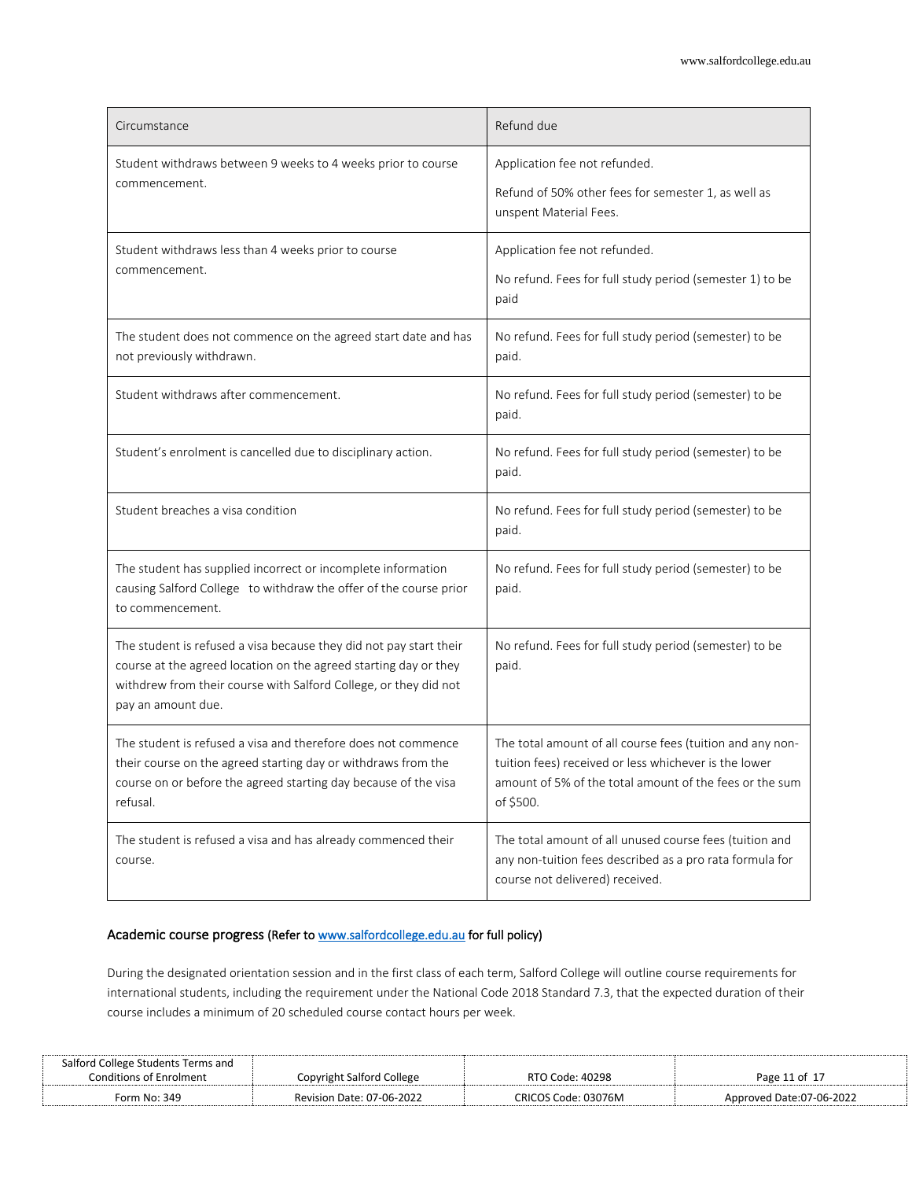| Circumstance                                                                                                                                                                                                                     | Refund due                                                                                                                                                                                 |
|----------------------------------------------------------------------------------------------------------------------------------------------------------------------------------------------------------------------------------|--------------------------------------------------------------------------------------------------------------------------------------------------------------------------------------------|
| Student withdraws between 9 weeks to 4 weeks prior to course<br>commencement.                                                                                                                                                    | Application fee not refunded.<br>Refund of 50% other fees for semester 1, as well as<br>unspent Material Fees.                                                                             |
| Student withdraws less than 4 weeks prior to course<br>commencement.                                                                                                                                                             | Application fee not refunded.<br>No refund. Fees for full study period (semester 1) to be<br>paid                                                                                          |
| The student does not commence on the agreed start date and has<br>not previously withdrawn.                                                                                                                                      | No refund. Fees for full study period (semester) to be<br>paid.                                                                                                                            |
| Student withdraws after commencement.                                                                                                                                                                                            | No refund. Fees for full study period (semester) to be<br>paid.                                                                                                                            |
| Student's enrolment is cancelled due to disciplinary action.                                                                                                                                                                     | No refund. Fees for full study period (semester) to be<br>paid.                                                                                                                            |
| Student breaches a visa condition                                                                                                                                                                                                | No refund. Fees for full study period (semester) to be<br>paid.                                                                                                                            |
| The student has supplied incorrect or incomplete information<br>causing Salford College to withdraw the offer of the course prior<br>to commencement.                                                                            | No refund. Fees for full study period (semester) to be<br>paid.                                                                                                                            |
| The student is refused a visa because they did not pay start their<br>course at the agreed location on the agreed starting day or they<br>withdrew from their course with Salford College, or they did not<br>pay an amount due. | No refund. Fees for full study period (semester) to be<br>paid.                                                                                                                            |
| The student is refused a visa and therefore does not commence<br>their course on the agreed starting day or withdraws from the<br>course on or before the agreed starting day because of the visa<br>refusal.                    | The total amount of all course fees (tuition and any non-<br>tuition fees) received or less whichever is the lower<br>amount of 5% of the total amount of the fees or the sum<br>of \$500. |
| The student is refused a visa and has already commenced their<br>course.                                                                                                                                                         | The total amount of all unused course fees (tuition and<br>any non-tuition fees described as a pro rata formula for<br>course not delivered) received.                                     |

# Academic course progress (Refer t[o www.salfordcollege.edu.au f](http://www.salfordcollege.edu.au/)or full policy)

During the designated orientation session and in the first class of each term, Salford College will outline course requirements for international students, including the requirement under the National Code 2018 Standard 7.3, that the expected duration of their course includes a minimum of 20 scheduled course contact hours per week.

| Salford College Students Terms and |                           |                     |                          |
|------------------------------------|---------------------------|---------------------|--------------------------|
| Conditions of Enrolment            | Copyright Salford College | RTO Code: 40298     | Page 11 of 17            |
| Form No: 349                       | Revision Date: 07-06-2022 | CRICOS Code: 03076M | Approved Date:07-06-2022 |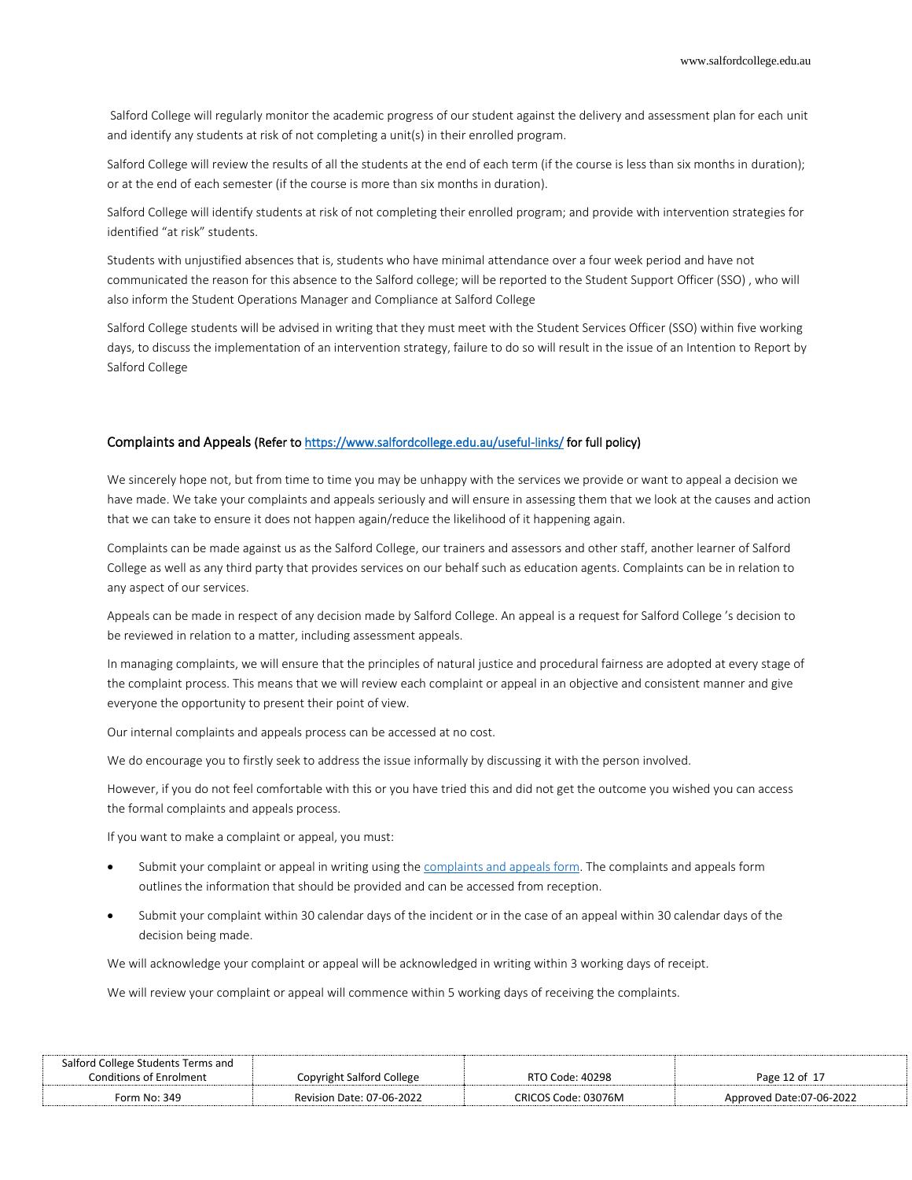Salford College will regularly monitor the academic progress of our student against the delivery and assessment plan for each unit and identify any students at risk of not completing a unit(s) in their enrolled program.

Salford College will review the results of all the students at the end of each term (if the course is less than six months in duration); or at the end of each semester (if the course is more than six months in duration).

Salford College will identify students at risk of not completing their enrolled program; and provide with intervention strategies for identified "at risk" students.

Students with unjustified absences that is, students who have minimal attendance over a four week period and have not communicated the reason for this absence to the Salford college; will be reported to the Student Support Officer (SSO) , who will also inform the Student Operations Manager and Compliance at Salford College

Salford College students will be advised in writing that they must meet with the Student Services Officer (SSO) within five working days, to discuss the implementation of an intervention strategy, failure to do so will result in the issue of an Intention to Report by Salford College

#### Complaints and Appeals (Refer t[o https://www.salfordcollege.edu.au/useful-links/ f](https://www.salfordcollege.edu.au/useful-links/)or full policy)

We sincerely hope not, but from time to time you may be unhappy with the services we provide or want to appeal a decision we have made. We take your complaints and appeals seriously and will ensure in assessing them that we look at the causes and action that we can take to ensure it does not happen again/reduce the likelihood of it happening again.

Complaints can be made against us as the Salford College, our trainers and assessors and other staff, another learner of Salford College as well as any third party that provides services on our behalf such as education agents. Complaints can be in relation to any aspect of our services.

Appeals can be made in respect of any decision made by Salford College. An appeal is a request for Salford College 's decision to be reviewed in relation to a matter, including assessment appeals.

In managing complaints, we will ensure that the principles of natural justice and procedural fairness are adopted at every stage of the complaint process. This means that we will review each complaint or appeal in an objective and consistent manner and give everyone the opportunity to present their point of view.

Our internal complaints and appeals process can be accessed at no cost.

We do encourage you to firstly seek to address the issue informally by discussing it with the person involved.

However, if you do not feel comfortable with this or you have tried this and did not get the outcome you wished you can access the formal complaints and appeals process.

If you want to make a complaint or appeal, you must:

- Submit your complaint or appeal in writing using th[e complaints and appeals form.](https://salfordcollege.edu.au/_documents/Complaints-and-Appeals-Form.pdf) The complaints and appeals form outlines the information that should be provided and can be accessed from reception.
- Submit your complaint within 30 calendar days of the incident or in the case of an appeal within 30 calendar days of the decision being made.

We will acknowledge your complaint or appeal will be acknowledged in writing within 3 working days of receipt.

We will review your complaint or appeal will commence within 5 working days of receiving the complaints.

| Salford College Students Terms and |                           |                     |                          |
|------------------------------------|---------------------------|---------------------|--------------------------|
| <b>Conditions of Enrolment</b>     | Copyright Salford College | RTO Code: 40298     | Page 12 of 17            |
| Form No: 349                       | Revision Date: 07-06-2022 | CRICOS Code: 03076M | Approved Date:07-06-2022 |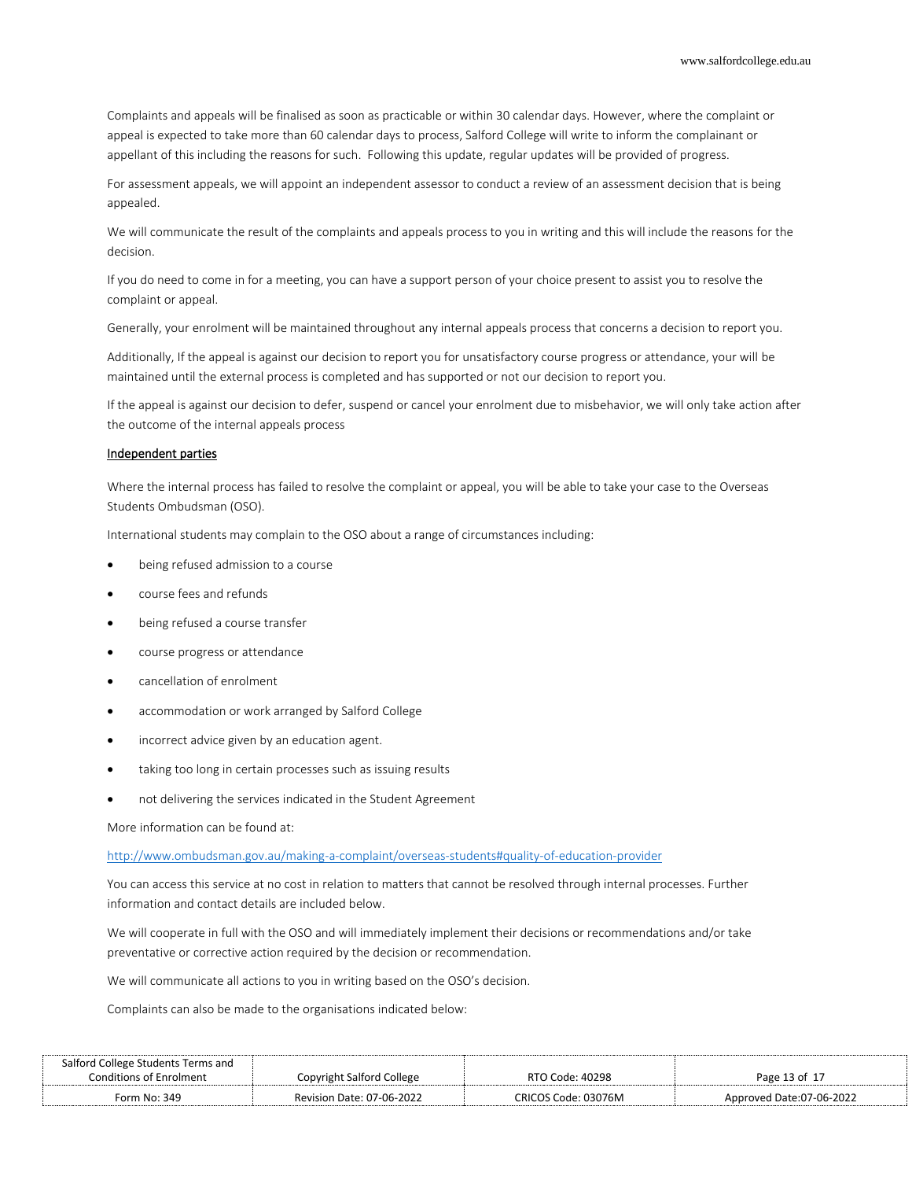Complaints and appeals will be finalised as soon as practicable or within 30 calendar days. However, where the complaint or appeal is expected to take more than 60 calendar days to process, Salford College will write to inform the complainant or appellant of this including the reasons for such. Following this update, regular updates will be provided of progress.

For assessment appeals, we will appoint an independent assessor to conduct a review of an assessment decision that is being appealed.

We will communicate the result of the complaints and appeals process to you in writing and this will include the reasons for the decision.

If you do need to come in for a meeting, you can have a support person of your choice present to assist you to resolve the complaint or appeal.

Generally, your enrolment will be maintained throughout any internal appeals process that concerns a decision to report you.

Additionally, If the appeal is against our decision to report you for unsatisfactory course progress or attendance, your will be maintained until the external process is completed and has supported or not our decision to report you.

If the appeal is against our decision to defer, suspend or cancel your enrolment due to misbehavior, we will only take action after the outcome of the internal appeals process

#### Independent parties

Where the internal process has failed to resolve the complaint or appeal, you will be able to take your case to the Overseas Students Ombudsman (OSO).

International students may complain to the OSO about a range of circumstances including:

- being refused admission to a course
- course fees and refunds
- being refused a course transfer
- course progress or attendance
- cancellation of enrolment
- accommodation or work arranged by Salford College
- incorrect advice given by an education agent.
- taking too long in certain processes such as issuing results
- not delivering the services indicated in the Student Agreement

More information can be found at:

<http://www.ombudsman.gov.au/making-a-complaint/overseas-students#quality-of-education-provider>

You can access this service at no cost in relation to matters that cannot be resolved through internal processes. Further information and contact details are included below.

We will cooperate in full with the OSO and will immediately implement their decisions or recommendations and/or take preventative or corrective action required by the decision or recommendation.

We will communicate all actions to you in writing based on the OSO's decision.

Complaints can also be made to the organisations indicated below:

| Salford College Students Terms and |                                  |                     |                          |
|------------------------------------|----------------------------------|---------------------|--------------------------|
| <b>Conditions of Enrolment</b>     | Copyright Salford College        | RTO Code: 40298     | Page 13 of 17            |
| Form No: 349                       | <b>Revision Date: 07-06-2022</b> | CRICOS Code: 03076M | Approved Date:07-06-2022 |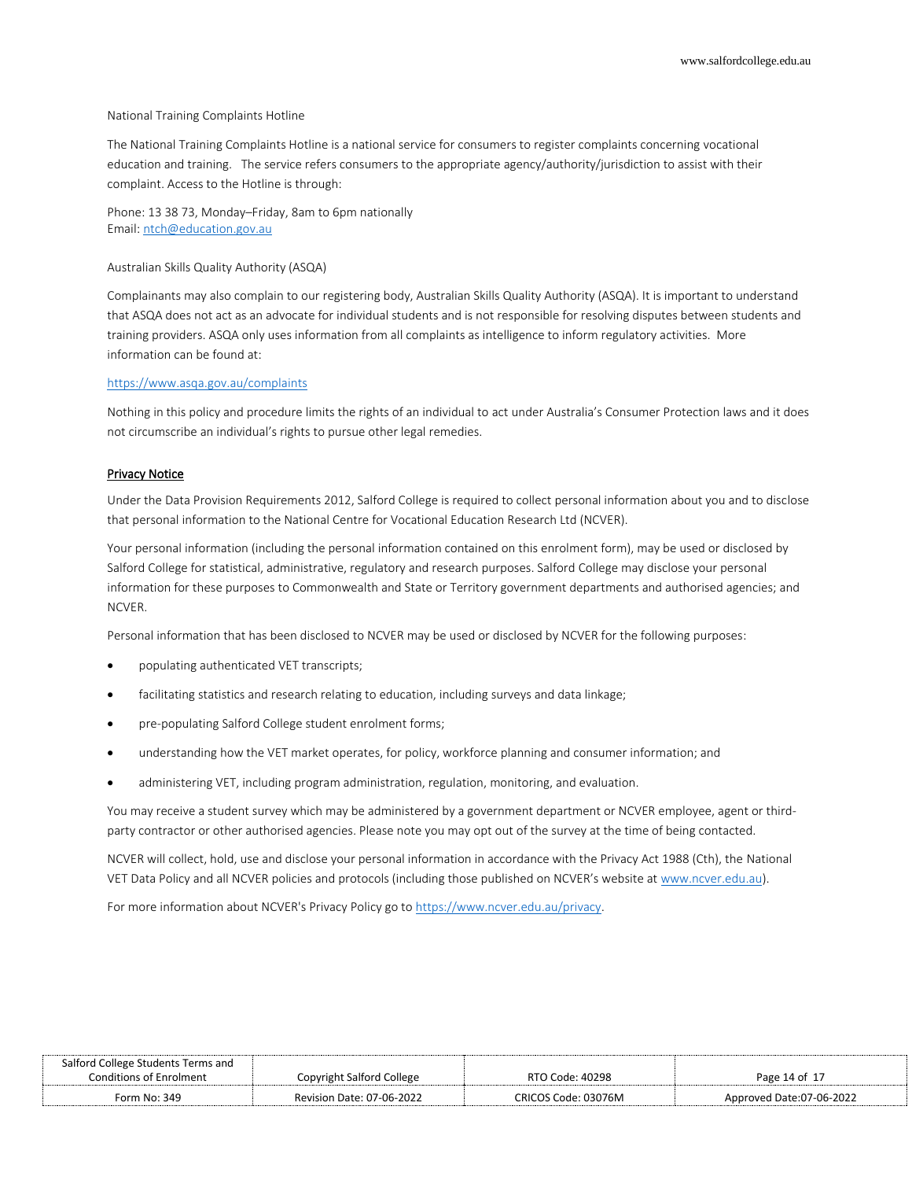#### National Training Complaints Hotline

The National Training Complaints Hotline is a national service for consumers to register complaints concerning vocational education and training. The service refers consumers to the appropriate agency/authority/jurisdiction to assist with their complaint. Access to the Hotline is through:

Phone: 13 38 73, Monday–Friday, 8am to 6pm nationally Email[: ntch@education.gov.au](mailto:ntch@education.gov.au)

#### Australian Skills Quality Authority (ASQA)

Complainants may also complain to our registering body, Australian Skills Quality Authority (ASQA). It is important to understand that ASQA does not act as an advocate for individual students and is not responsible for resolving disputes between students and training providers. ASQA only uses information from all complaints as intelligence to inform regulatory activities. More information can be found at:

#### <https://www.asqa.gov.au/complaints>

Nothing in this policy and procedure limits the rights of an individual to act under Australia's Consumer Protection laws and it does not circumscribe an individual's rights to pursue other legal remedies.

#### Privacy Notice

Under the Data Provision Requirements 2012, Salford College is required to collect personal information about you and to disclose that personal information to the National Centre for Vocational Education Research Ltd (NCVER).

Your personal information (including the personal information contained on this enrolment form), may be used or disclosed by Salford College for statistical, administrative, regulatory and research purposes. Salford College may disclose your personal information for these purposes to Commonwealth and State or Territory government departments and authorised agencies; and NCVER.

Personal information that has been disclosed to NCVER may be used or disclosed by NCVER for the following purposes:

- populating authenticated VET transcripts;
- facilitating statistics and research relating to education, including surveys and data linkage;
- pre-populating Salford College student enrolment forms;
- understanding how the VET market operates, for policy, workforce planning and consumer information; and
- administering VET, including program administration, regulation, monitoring, and evaluation.

You may receive a student survey which may be administered by a government department or NCVER employee, agent or thirdparty contractor or other authorised agencies. Please note you may opt out of the survey at the time of being contacted.

NCVER will collect, hold, use and disclose your personal information in accordance with the Privacy Act 1988 (Cth), the National VET Data Policy and all NCVER policies and protocols (including those published on NCVER's website at [www.ncver.edu.au\)](https://www.ncver.edu.au/).

For more information about NCVER's Privacy Policy go to [https://www.ncver.edu.au/privacy.](https://www.ncver.edu.au/privacy)

| Salford College Students Terms and |                           |                     |                          |
|------------------------------------|---------------------------|---------------------|--------------------------|
| <b>Conditions of Enrolment</b>     | Copyright Salford College | RTO Code: 40298     | Page 14 of 17            |
| Form No: 349                       | Revision Date: 07-06-2022 | CRICOS Code: 03076M | Approved Date:07-06-2022 |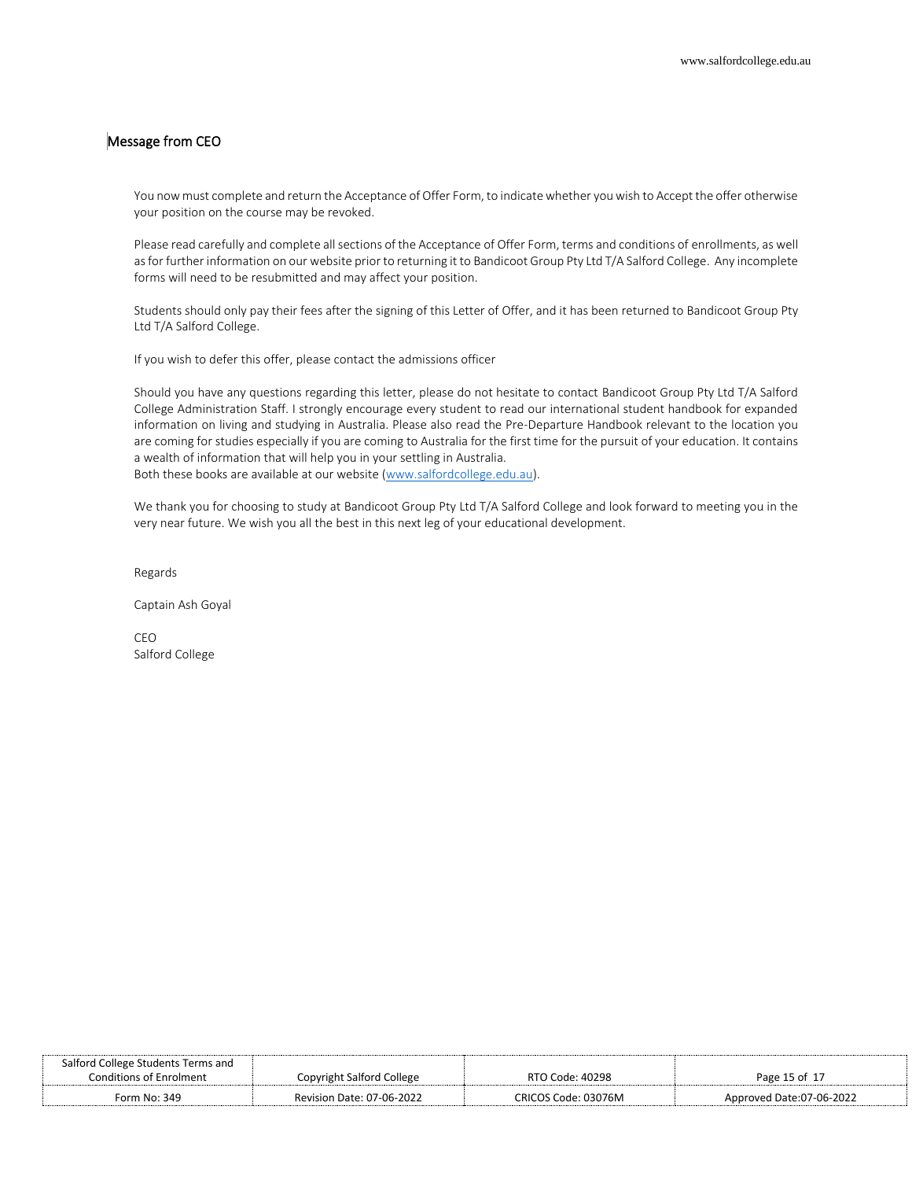# Message from CEO

You now must complete and return the Acceptance of Offer Form, to indicate whether you wish to Accept the offer otherwise your position on the course may be revoked.

Please read carefully and complete all sections of the Acceptance of Offer Form, terms and conditions of enrollments, as well as for further information on our website prior to returning it to Bandicoot Group Pty Ltd T/A Salford College. Any incomplete forms will need to be resubmitted and may affect your position.

Students should only pay their fees after the signing of this Letter of Offer, and it has been returned to Bandicoot Group Pty Ltd T/A Salford College.

If you wish to defer this offer, please contact the admissions officer

Should you have any questions regarding this letter, please do not hesitate to contact Bandicoot Group Pty Ltd T/A Salford College Administration Staff. I strongly encourage every student to read our international student handbook for expanded information on living and studying in Australia. Please also read the Pre-Departure Handbook relevant to the location you are coming for studies especially if you are coming to Australia for the first time for the pursuit of your education. It contains a wealth of information that will help you in your settling in Australia. Both these books are available at our website (www.salfordcollege.edu.au).

We thank you for choosing to study at Bandicoot Group Pty Ltd T/A Salford College and look forward to meeting you in the very near future. We wish you all the best in this next leg of your educational development.

Regards

Captain Ash Goyal

CEO Salford College

| Salford College Students Terms and |                                  |                     |                          |
|------------------------------------|----------------------------------|---------------------|--------------------------|
| <b>Conditions of Enrolment</b>     | Copyright Salford College        | RTO Code: 40298     | Page 15 of $1-$          |
| Form No: 349                       | <b>Revision Date: 07-06-2022</b> | CRICOS Code: 03076M | Approved Date:07-06-2022 |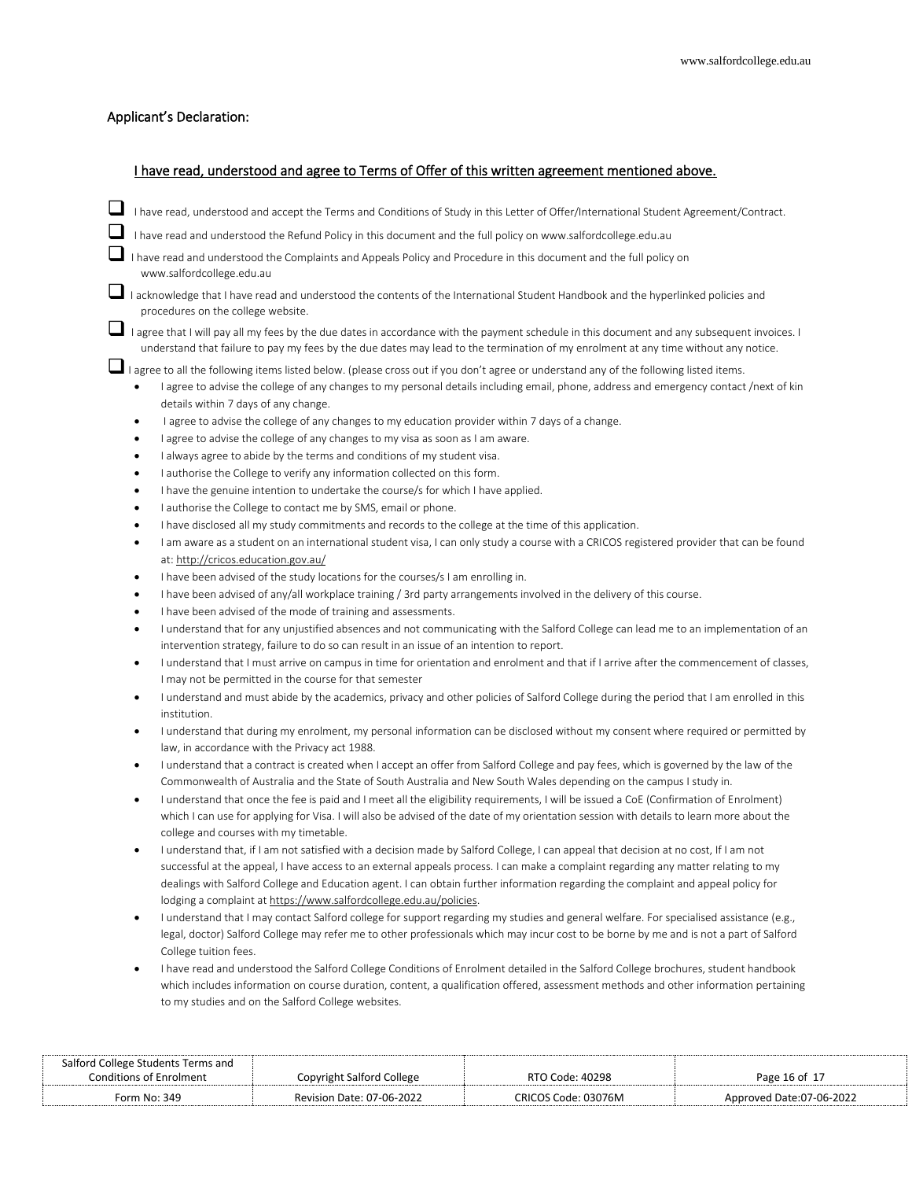# Applicant's Declaration:

# I have read, understood and agree to Terms of Offer of this written agreement mentioned above.

- ❑ I have read, understood and accept the Terms and Conditions of Study in this Letter of Offer/International Student Agreement/Contract.
- I have read and understood the Refund Policy in this document and the full policy on www.salfordcollege.edu.au
- ❑ I have read and understood the Complaints and Appeals Policy and Procedure in this document and the full policy on www.salfordcollege.edu.au

■ I acknowledge that I have read and understood the contents of the International Student Handbook and the hyperlinked policies and procedures on the college website.

■ I agree that I will pay all my fees by the due dates in accordance with the payment schedule in this document and any subsequent invoices. I understand that failure to pay my fees by the due dates may lead to the termination of my enrolment at any time without any notice.

■I agree to all the following items listed below. (please cross out if you don't agree or understand any of the following listed items.

- I agree to advise the college of any changes to my personal details including email, phone, address and emergency contact /next of kin details within 7 days of any change.
- I agree to advise the college of any changes to my education provider within 7 days of a change.
- I agree to advise the college of any changes to my visa as soon as I am aware.
- I always agree to abide by the terms and conditions of my student visa.
- I authorise the College to verify any information collected on this form.
- I have the genuine intention to undertake the course/s for which I have applied.
- I authorise the College to contact me by SMS, email or phone.
- I have disclosed all my study commitments and records to the college at the time of this application.
- I am aware as a student on an international student visa, I can only study a course with a CRICOS registered provider that can be found at: http://cricos.education.gov.au/
- I have been advised of the study locations for the courses/s I am enrolling in.
- I have been advised of any/all workplace training / 3rd party arrangements involved in the delivery of this course.
- I have been advised of the mode of training and assessments.
- I understand that for any unjustified absences and not communicating with the Salford College can lead me to an implementation of an intervention strategy, failure to do so can result in an issue of an intention to report.
- I understand that I must arrive on campus in time for orientation and enrolment and that if I arrive after the commencement of classes, I may not be permitted in the course for that semester
- I understand and must abide by the academics, privacy and other policies of Salford College during the period that I am enrolled in this institution.
- I understand that during my enrolment, my personal information can be disclosed without my consent where required or permitted by law, in accordance with the Privacy act 1988.
- I understand that a contract is created when I accept an offer from Salford College and pay fees, which is governed by the law of the Commonwealth of Australia and the State of South Australia and New South Wales depending on the campus I study in.
- I understand that once the fee is paid and I meet all the eligibility requirements, I will be issued a CoE (Confirmation of Enrolment) which I can use for applying for Visa. I will also be advised of the date of my orientation session with details to learn more about the college and courses with my timetable.
- I understand that, if I am not satisfied with a decision made by Salford College, I can appeal that decision at no cost, If I am not successful at the appeal, I have access to an external appeals process. I can make a complaint regarding any matter relating to my dealings with Salford College and Education agent. I can obtain further information regarding the complaint and appeal policy for lodging a complaint at https://www.salfordcollege.edu.au/policies.
- I understand that I may contact Salford college for support regarding my studies and general welfare. For specialised assistance (e.g., legal, doctor) Salford College may refer me to other professionals which may incur cost to be borne by me and is not a part of Salford College tuition fees.
- I have read and understood the Salford College Conditions of Enrolment detailed in the Salford College brochures, student handbook which includes information on course duration, content, a qualification offered, assessment methods and other information pertaining to my studies and on the Salford College websites.

| Salford College Students Terms and |                           |                     |                          |
|------------------------------------|---------------------------|---------------------|--------------------------|
| <b>Conditions of Enrolment</b>     | Copyright Salford College | RTO Code: 40298     | Page 16 of 17            |
| Form No: 349                       | Revision Date: 07-06-2022 | CRICOS Code: 03076M | Approved Date:07-06-2022 |